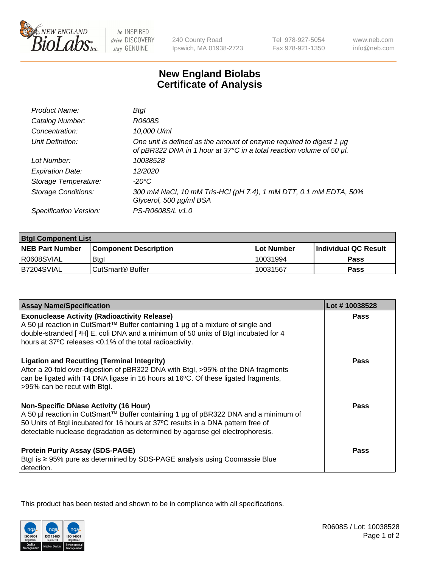

be INSPIRED drive DISCOVERY stay GENUINE

240 County Road Ipswich, MA 01938-2723 Tel 978-927-5054 Fax 978-921-1350

www.neb.com info@neb.com

## **New England Biolabs Certificate of Analysis**

| Product Name:              | Btal                                                                                                                                             |
|----------------------------|--------------------------------------------------------------------------------------------------------------------------------------------------|
| Catalog Number:            | R0608S                                                                                                                                           |
| Concentration:             | 10,000 U/ml                                                                                                                                      |
| Unit Definition:           | One unit is defined as the amount of enzyme required to digest 1 $\mu$ g<br>of pBR322 DNA in 1 hour at 37°C in a total reaction volume of 50 µl. |
| Lot Number:                | 10038528                                                                                                                                         |
| <b>Expiration Date:</b>    | 12/2020                                                                                                                                          |
| Storage Temperature:       | -20°C                                                                                                                                            |
| <b>Storage Conditions:</b> | 300 mM NaCl, 10 mM Tris-HCl (pH 7.4), 1 mM DTT, 0.1 mM EDTA, 50%<br>Glycerol, 500 µg/ml BSA                                                      |
| Specification Version:     | PS-R0608S/L v1.0                                                                                                                                 |

| <b>Btgl Component List</b> |                              |                   |                      |  |
|----------------------------|------------------------------|-------------------|----------------------|--|
| <b>NEB Part Number</b>     | <b>Component Description</b> | <b>Lot Number</b> | Individual QC Result |  |
| R0608SVIAL                 | Btgl                         | 10031994          | <b>Pass</b>          |  |
| B7204SVIAL                 | CutSmart <sup>®</sup> Buffer | 10031567          | Pass                 |  |

| <b>Assay Name/Specification</b>                                                                                                                                                                                                                                                                          | Lot #10038528 |
|----------------------------------------------------------------------------------------------------------------------------------------------------------------------------------------------------------------------------------------------------------------------------------------------------------|---------------|
| <b>Exonuclease Activity (Radioactivity Release)</b><br>A 50 µl reaction in CutSmart™ Buffer containing 1 µg of a mixture of single and                                                                                                                                                                   | Pass          |
| double-stranded [3H] E. coli DNA and a minimum of 50 units of Btgl incubated for 4<br>hours at 37°C releases <0.1% of the total radioactivity.                                                                                                                                                           |               |
| <b>Ligation and Recutting (Terminal Integrity)</b><br>After a 20-fold over-digestion of pBR322 DNA with Btgl, >95% of the DNA fragments<br>can be ligated with T4 DNA ligase in 16 hours at 16°C. Of these ligated fragments,<br>>95% can be recut with Btgl.                                            | <b>Pass</b>   |
| <b>Non-Specific DNase Activity (16 Hour)</b><br>A 50 µl reaction in CutSmart™ Buffer containing 1 µg of pBR322 DNA and a minimum of<br>50 Units of Btgl incubated for 16 hours at 37°C results in a DNA pattern free of<br>detectable nuclease degradation as determined by agarose gel electrophoresis. | Pass          |
| <b>Protein Purity Assay (SDS-PAGE)</b><br>Btgl is ≥ 95% pure as determined by SDS-PAGE analysis using Coomassie Blue<br>detection.                                                                                                                                                                       | Pass          |

This product has been tested and shown to be in compliance with all specifications.